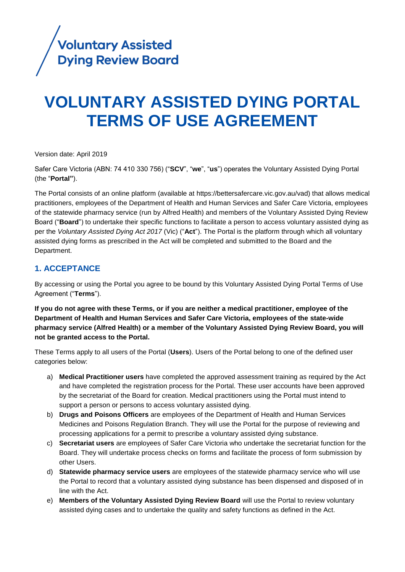

# **VOLUNTARY ASSISTED DYING PORTAL TERMS OF USE AGREEMENT**

Version date: April 2019

Safer Care Victoria (ABN: 74 410 330 756) ("**SCV**", "**we**", "**us**") operates the Voluntary Assisted Dying Portal (the "**Portal"**).

The Portal consists of an online platform (available at https://bettersafercare.vic.gov.au/vad) that allows medical practitioners, employees of the Department of Health and Human Services and Safer Care Victoria, employees of the statewide pharmacy service (run by Alfred Health) and members of the Voluntary Assisted Dying Review Board ("**Board**") to undertake their specific functions to facilitate a person to access voluntary assisted dying as per the *Voluntary Assisted Dying Act 2017* (Vic) ("**Act**"). The Portal is the platform through which all voluntary assisted dying forms as prescribed in the Act will be completed and submitted to the Board and the Department.

# **1. ACCEPTANCE**

By accessing or using the Portal you agree to be bound by this Voluntary Assisted Dying Portal Terms of Use Agreement ("**Terms**").

**If you do not agree with these Terms, or if you are neither a medical practitioner, employee of the Department of Health and Human Services and Safer Care Victoria, employees of the state-wide pharmacy service (Alfred Health) or a member of the Voluntary Assisted Dying Review Board, you will not be granted access to the Portal.** 

These Terms apply to all users of the Portal (**Users**). Users of the Portal belong to one of the defined user categories below:

- a) **Medical Practitioner users** have completed the approved assessment training as required by the Act and have completed the registration process for the Portal. These user accounts have been approved by the secretariat of the Board for creation. Medical practitioners using the Portal must intend to support a person or persons to access voluntary assisted dying.
- b) **Drugs and Poisons Officers** are employees of the Department of Health and Human Services Medicines and Poisons Regulation Branch. They will use the Portal for the purpose of reviewing and processing applications for a permit to prescribe a voluntary assisted dying substance.
- c) **Secretariat users** are employees of Safer Care Victoria who undertake the secretariat function for the Board. They will undertake process checks on forms and facilitate the process of form submission by other Users.
- d) **Statewide pharmacy service users** are employees of the statewide pharmacy service who will use the Portal to record that a voluntary assisted dying substance has been dispensed and disposed of in line with the Act.
- e) **Members of the Voluntary Assisted Dying Review Board** will use the Portal to review voluntary assisted dying cases and to undertake the quality and safety functions as defined in the Act.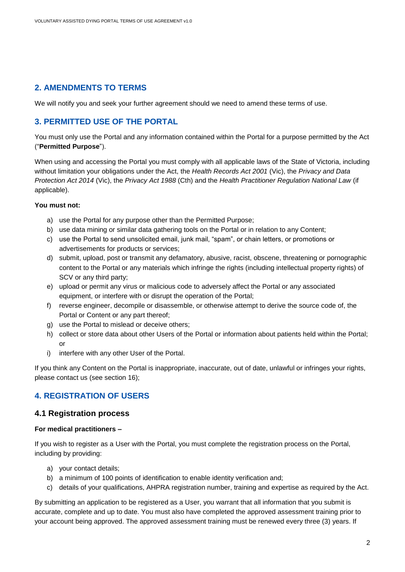# **2. AMENDMENTS TO TERMS**

We will notify you and seek your further agreement should we need to amend these terms of use.

# **3. PERMITTED USE OF THE PORTAL**

You must only use the Portal and any information contained within the Portal for a purpose permitted by the Act ("**Permitted Purpose**").

When using and accessing the Portal you must comply with all applicable laws of the State of Victoria, including without limitation your obligations under the Act, the *Health Records Act 2001* (Vic), the *Privacy and Data Protection Act 2014* (Vic), the *Privacy Act 1988* (Cth) and the *Health Practitioner Regulation National Law* (if applicable).

#### **You must not:**

- a) use the Portal for any purpose other than the Permitted Purpose;
- b) use data mining or similar data gathering tools on the Portal or in relation to any Content;
- c) use the Portal to send unsolicited email, junk mail, "spam", or chain letters, or promotions or advertisements for products or services;
- d) submit, upload, post or transmit any defamatory, abusive, racist, obscene, threatening or pornographic content to the Portal or any materials which infringe the rights (including intellectual property rights) of SCV or any third party;
- e) upload or permit any virus or malicious code to adversely affect the Portal or any associated equipment, or interfere with or disrupt the operation of the Portal;
- f) reverse engineer, decompile or disassemble, or otherwise attempt to derive the source code of, the Portal or Content or any part thereof;
- g) use the Portal to mislead or deceive others;
- h) collect or store data about other Users of the Portal or information about patients held within the Portal; or
- i) interfere with any other User of the Portal.

If you think any Content on the Portal is inappropriate, inaccurate, out of date, unlawful or infringes your rights, please contact us (see section 16);

# **4. REGISTRATION OF USERS**

#### **4.1 Registration process**

#### **For medical practitioners –**

If you wish to register as a User with the Portal, you must complete the registration process on the Portal, including by providing:

- a) your contact details;
- b) a minimum of 100 points of identification to enable identity verification and;
- c) details of your qualifications, AHPRA registration number, training and expertise as required by the Act.

By submitting an application to be registered as a User, you warrant that all information that you submit is accurate, complete and up to date. You must also have completed the approved assessment training prior to your account being approved. The approved assessment training must be renewed every three (3) years. If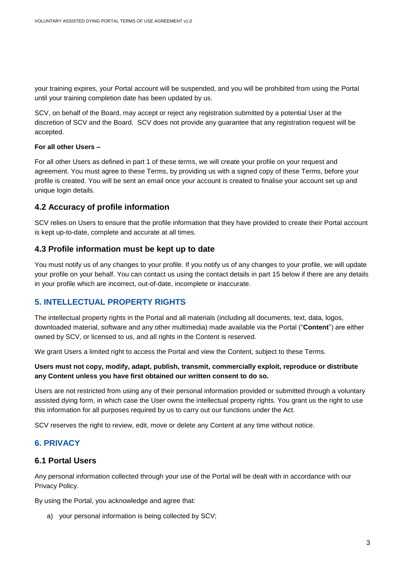your training expires, your Portal account will be suspended, and you will be prohibited from using the Portal until your training completion date has been updated by us.

SCV, on behalf of the Board, may accept or reject any registration submitted by a potential User at the discretion of SCV and the Board. SCV does not provide any guarantee that any registration request will be accepted.

#### **For all other Users –**

For all other Users as defined in part 1 of these terms, we will create your profile on your request and agreement. You must agree to these Terms, by providing us with a signed copy of these Terms, before your profile is created. You will be sent an email once your account is created to finalise your account set up and unique login details.

## **4.2 Accuracy of profile information**

SCV relies on Users to ensure that the profile information that they have provided to create their Portal account is kept up-to-date, complete and accurate at all times.

#### **4.3 Profile information must be kept up to date**

You must notify us of any changes to your profile. If you notify us of any changes to your profile, we will update your profile on your behalf. You can contact us using the contact details in part 15 below if there are any details in your profile which are incorrect, out-of-date, incomplete or inaccurate.

# **5. INTELLECTUAL PROPERTY RIGHTS**

The intellectual property rights in the Portal and all materials (including all documents, text, data, logos, downloaded material, software and any other multimedia) made available via the Portal ("**Content**") are either owned by SCV, or licensed to us, and all rights in the Content is reserved.

We grant Users a limited right to access the Portal and view the Content, subject to these Terms.

#### **Users must not copy, modify, adapt, publish, transmit, commercially exploit, reproduce or distribute any Content unless you have first obtained our written consent to do so.**

Users are not restricted from using any of their personal information provided or submitted through a voluntary assisted dying form, in which case the User owns the intellectual property rights. You grant us the right to use this information for all purposes required by us to carry out our functions under the Act.

SCV reserves the right to review, edit, move or delete any Content at any time without notice.

## **6. PRIVACY**

#### **6.1 Portal Users**

Any personal information collected through your use of the Portal will be dealt with in accordance with our [Privacy Policy.](https://bettersafercare.vic.gov.au/sites/default/files/2018-11/SCV%20Privacy%20Policy_October2018_v1.0%20final.pdf)

By using the Portal, you acknowledge and agree that:

a) your personal information is being collected by SCV;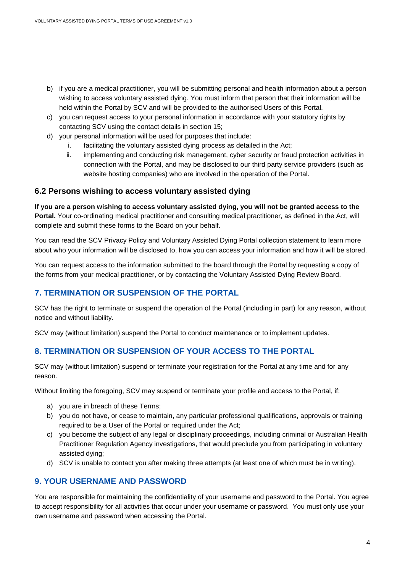- b) if you are a medical practitioner, you will be submitting personal and health information about a person wishing to access voluntary assisted dying. You must inform that person that their information will be held within the Portal by SCV and will be provided to the authorised Users of this Portal.
- c) you can request access to your personal information in accordance with your statutory rights by contacting SCV using the contact details in section 15;
- d) your personal information will be used for purposes that include:
	- i. facilitating the voluntary assisted dying process as detailed in the Act;
	- ii. implementing and conducting risk management, cyber security or fraud protection activities in connection with the Portal, and may be disclosed to our third party service providers (such as website hosting companies) who are involved in the operation of the Portal.

#### **6.2 Persons wishing to access voluntary assisted dying**

**If you are a person wishing to access voluntary assisted dying, you will not be granted access to the Portal.** Your co-ordinating medical practitioner and consulting medical practitioner, as defined in the Act, will complete and submit these forms to the Board on your behalf.

You can read the [SCV Privacy Policy](https://bettersafercare.vic.gov.au/sites/default/files/2018-11/SCV%20Privacy%20Policy_October2018_v1.0%20final.pdfhttps:/bettersafercare.vic.gov.au/sites/default/files/2018-11/SCV%20Privacy%20Policy_October2018_v1.0%20final.pdf) and Voluntary Assisted Dying Portal collection statement to learn more about who your information will be disclosed to, how you can access your information and how it will be stored.

You can request access to the information submitted to the board through the Portal by requesting a copy of the forms from your medical practitioner, or by contacting the Voluntary Assisted Dying Review Board.

## **7. TERMINATION OR SUSPENSION OF THE PORTAL**

SCV has the right to terminate or suspend the operation of the Portal (including in part) for any reason, without notice and without liability.

SCV may (without limitation) suspend the Portal to conduct maintenance or to implement updates.

## **8. TERMINATION OR SUSPENSION OF YOUR ACCESS TO THE PORTAL**

SCV may (without limitation) suspend or terminate your registration for the Portal at any time and for any reason.

Without limiting the foregoing, SCV may suspend or terminate your profile and access to the Portal, if:

- a) you are in breach of these Terms;
- b) you do not have, or cease to maintain, any particular professional qualifications, approvals or training required to be a User of the Portal or required under the Act;
- c) you become the subject of any legal or disciplinary proceedings, including criminal or Australian Health Practitioner Regulation Agency investigations, that would preclude you from participating in voluntary assisted dying;
- d) SCV is unable to contact you after making three attempts (at least one of which must be in writing).

#### **9. YOUR USERNAME AND PASSWORD**

You are responsible for maintaining the confidentiality of your username and password to the Portal. You agree to accept responsibility for all activities that occur under your username or password. You must only use your own username and password when accessing the Portal.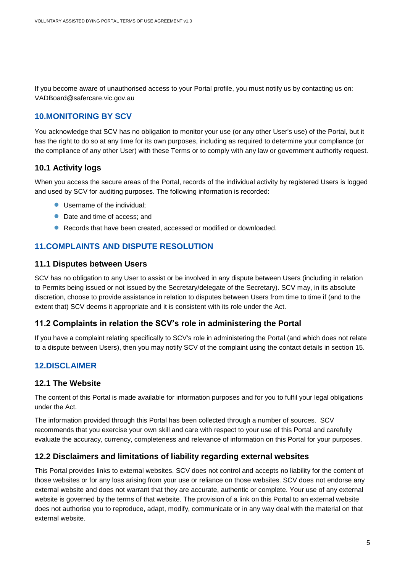If you become aware of unauthorised access to your Portal profile, you must notify us by contacting us on: VADBoard@safercare.vic.gov.au

# **10.MONITORING BY SCV**

You acknowledge that SCV has no obligation to monitor your use (or any other User's use) of the Portal, but it has the right to do so at any time for its own purposes, including as required to determine your compliance (or the compliance of any other User) with these Terms or to comply with any law or government authority request.

# **10.1 Activity logs**

When you access the secure areas of the Portal, records of the individual activity by registered Users is logged and used by SCV for auditing purposes. The following information is recorded:

- Username of the individual:
- Date and time of access; and
- Records that have been created, accessed or modified or downloaded.

# **11.COMPLAINTS AND DISPUTE RESOLUTION**

#### **11.1 Disputes between Users**

SCV has no obligation to any User to assist or be involved in any dispute between Users (including in relation to Permits being issued or not issued by the Secretary/delegate of the Secretary). SCV may, in its absolute discretion, choose to provide assistance in relation to disputes between Users from time to time if (and to the extent that) SCV deems it appropriate and it is consistent with its role under the Act.

## **11.2 Complaints in relation the SCV's role in administering the Portal**

If you have a complaint relating specifically to SCV's role in administering the Portal (and which does not relate to a dispute between Users), then you may notify SCV of the complaint using the contact details in section 15.

# **12.DISCLAIMER**

## **12.1 The Website**

The content of this Portal is made available for information purposes and for you to fulfil your legal obligations under the Act.

The information provided through this Portal has been collected through a number of sources. SCV recommends that you exercise your own skill and care with respect to your use of this Portal and carefully evaluate the accuracy, currency, completeness and relevance of information on this Portal for your purposes.

## **12.2 Disclaimers and limitations of liability regarding external websites**

This Portal provides links to external websites. SCV does not control and accepts no liability for the content of those websites or for any loss arising from your use or reliance on those websites. SCV does not endorse any external website and does not warrant that they are accurate, authentic or complete. Your use of any external website is governed by the terms of that website. The provision of a link on this Portal to an external website does not authorise you to reproduce, adapt, modify, communicate or in any way deal with the material on that external website.